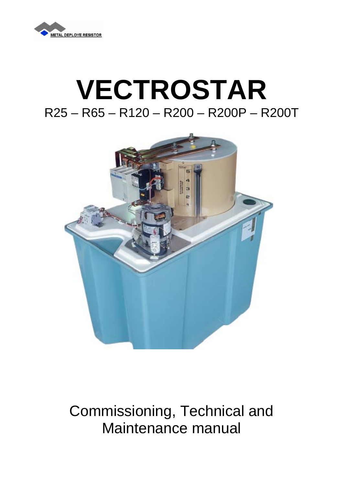

# **VECTROSTAR**  R25 – R65 – R120 – R200 – R200P – R200T



## Commissioning, Technical and Maintenance manual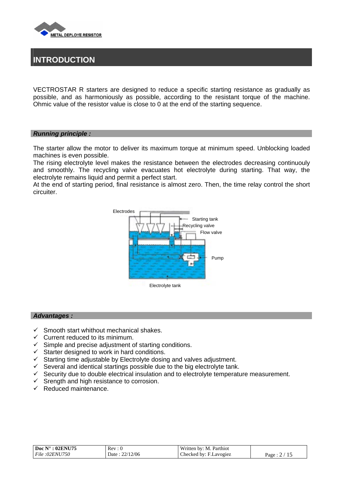

## **INTRODUCTION**

VECTROSTAR R starters are designed to reduce a specific starting resistance as gradually as possible, and as harmoniously as possible, according to the resistant torque of the machine. Ohmic value of the resistor value is close to 0 at the end of the starting sequence.

#### *Running principle :*

The starter allow the motor to deliver its maximum torque at minimum speed. Unblocking loaded machines is even possible.

The rising electrolyte level makes the resistance between the electrodes decreasing continuouly and smoothly. The recycling valve evacuates hot electrolyte during starting. That way, the electrolyte remains liquid and permit a perfect start.

At the end of starting period, final resistance is almost zero. Then, the time relay control the short circuiter.



#### *Advantages :*

- $\checkmark$  Smooth start whithout mechanical shakes.
- $\checkmark$  Current reduced to its minimum.
- $\checkmark$  Simple and precise adjustment of starting conditions.
- $\checkmark$  Starter designed to work in hard conditions.
- $\checkmark$  Starting time adjustable by Electrolyte dosing and valves adjustment.
- $\checkmark$  Several and identical startings possible due to the big electrolyte tank.
- $\checkmark$  Security due to double electrical insulation and to electrolyte temperature measurement.
- $\checkmark$  Srength and high resistance to corrosion.
- $\checkmark$  Reduced maintenance.

| $\mathsf{Doc}\ \mathbb{N}^\circ:02\mathbb{EN}U75$ | Rev: 0             | Written by: M. Parthiot |        |
|---------------------------------------------------|--------------------|-------------------------|--------|
| File : 02ENU750                                   | 22/12/06<br>Date : | Checked by: F.Lavogiez  | Page : |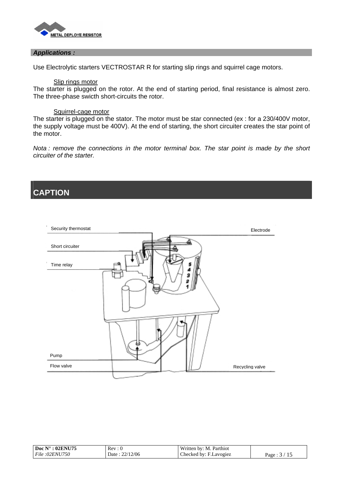

#### *Applications :*

Use Electrolytic starters VECTROSTAR R for starting slip rings and squirrel cage motors.

#### Slip rings motor

The starter is plugged on the rotor. At the end of starting period, final resistance is almost zero. The three-phase swicth short-circuits the rotor.

#### Squirrel-cage motor

The starter is plugged on the stator. The motor must be star connected (ex : for a 230/400V motor, the supply voltage must be 400V). At the end of starting, the short circuiter creates the star point of the motor.

*Nota : remove the connections in the motor terminal box. The star point is made by the short circuiter of the starter.* 

### **CAPTION**



| Doc $N^{\circ}$ : 02ENU75 | Rev :           | Written by: M. Parthiot |      |
|---------------------------|-----------------|-------------------------|------|
| File:02ENU750             | 2/12/06<br>Date | Checked by: F.Lavogiez  | Page |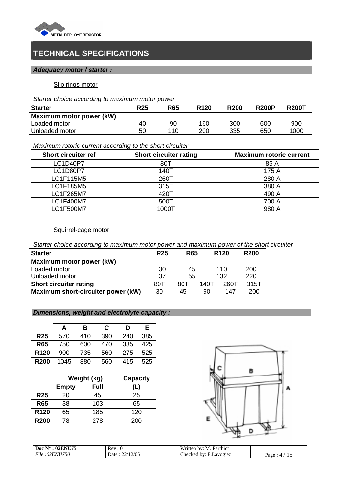

## **TECHNICAL SPECIFICATIONS**

#### *Adequacy motor / starter :*

#### Slip rings motor

*Starter choice according to maximum motor power* 

| <b>Starter</b>           | <b>R25</b> | <b>R65</b> | R <sub>120</sub> | <b>R200</b> | <b>R200P</b> | <b>R200T</b> |
|--------------------------|------------|------------|------------------|-------------|--------------|--------------|
| Maximum motor power (kW) |            |            |                  |             |              |              |
| Loaded motor             | 40         | 90         | 160              | 300         | 600          | 900          |
| Unloaded motor           | 50         | 110        | 200              | 335         | 650          | 1000         |

*Maximum rotoric current according to the short circuiter* 

| <b>Short circuiter ref</b> | <b>Short circuiter rating</b> | <b>Maximum rotoric current</b> |
|----------------------------|-------------------------------|--------------------------------|
| <b>LC1D40P7</b>            | 80T                           | 85 A                           |
| <b>LC1D80P7</b>            | 140T                          | 175 A                          |
| LC1F115M5                  | 260T                          | 280 A                          |
| LC1F185M5                  | 315T                          | 380 A                          |
| LC1F265M7                  | 420T                          | 490 A                          |
| <b>LC1F400M7</b>           | 500T                          | 700 A                          |
| LC1F500M7                  | 1000T                         | 980 A                          |

#### Squirrel-cage motor

*Starter choice according to maximum motor power and maximum power of the short circuiter* 

| <b>Starter</b>                     | <b>R25</b> | <b>R65</b> |      | R <sub>120</sub> | <b>R200</b> |
|------------------------------------|------------|------------|------|------------------|-------------|
| Maximum motor power (kW)           |            |            |      |                  |             |
| Loaded motor                       | 30         | 45         |      | 110              | 200         |
| Unloaded motor                     | 37         | 55         |      | 132              | 220         |
| <b>Short circuiter rating</b>      | 80T        | 80T        | 140T | 260T             | 315T        |
| Maximum short-circuiter power (kW) | 30         | 45         | 90   | 147              | 200         |

#### *Dimensions, weight and electrolyte capacity :*

|                  | А    | В   | C   | D   | E.  |
|------------------|------|-----|-----|-----|-----|
| <b>R25</b>       | 570  | 410 | 390 | 240 | 385 |
| <b>R65</b>       | 750  | 600 | 470 | 335 | 425 |
| R <sub>120</sub> | 900  | 735 | 560 | 275 | 525 |
| <b>R200</b>      | 1045 | 880 | 560 | 415 | 525 |

|                  | Weight (kg)  |      | <b>Capacity</b> |
|------------------|--------------|------|-----------------|
|                  | <b>Empty</b> | Full | (L)             |
| <b>R25</b>       | 20           | 45   | 25              |
| <b>R65</b>       | 38           | 103  | 65              |
| R <sub>120</sub> | 65           | 185  | 120             |
| <b>R200</b>      | 78           | 278  | 200             |



| $:02$ ENU75<br>Doc $N^{\circ}$ | Rev : u          | Written by: $M_{\cdot}$ 1<br>. Parthiot |                  |
|--------------------------------|------------------|-----------------------------------------|------------------|
| <i>File</i> :02 <i>ENU750</i>  | 22/12/06<br>Date | Checked by: F.Lavogiez                  | Page<br>$\Delta$ |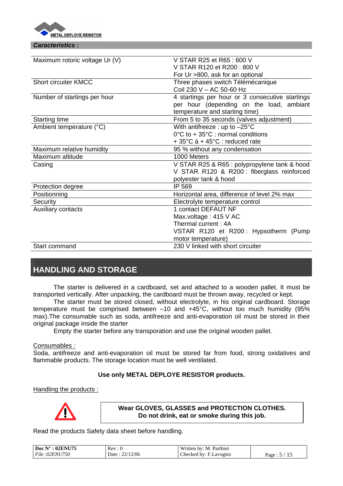

#### *Caracteristics :*

| Maximum rotoric voltage Ur (V) | V STAR R25 et R65 : 600 V                              |  |  |
|--------------------------------|--------------------------------------------------------|--|--|
|                                | V STAR R120 et R200 : 800 V                            |  |  |
|                                | For Ur >800, ask for an optional                       |  |  |
| <b>Short circuiter KMCC</b>    | Three phases switch Télémécanique                      |  |  |
|                                | Coil 230 V - AC 50-60 Hz                               |  |  |
| Number of startings per hour   | 4 startings per hour or 3 consecutive startings        |  |  |
|                                | per hour (depending on the load, ambiant               |  |  |
|                                | temperature and starting time)                         |  |  |
| <b>Starting time</b>           | From 5 to 35 seconds (valves adjustment)               |  |  |
| Ambient temperature (°C)       | With antifreeze : up to $-25^{\circ}$ C                |  |  |
|                                | $0^{\circ}$ C to + 35 $^{\circ}$ C : normal conditions |  |  |
|                                | $+35^{\circ}$ C à $+45^{\circ}$ C : reduced rate       |  |  |
| Maximum relative humidity      | 95 % without any condensation                          |  |  |
| Maximum altitude               | 1000 Meters                                            |  |  |
| Casing                         | V STAR R25 & R65 : polypropylene tank & hood           |  |  |
|                                | V STAR R120 & R200 : fiberglass reinforced             |  |  |
|                                | polyester tank & hood                                  |  |  |
| Protection degree              | IP 569                                                 |  |  |
| Positionning                   | Horizontal area, difference of level 2% max            |  |  |
| Security                       | Electrolyte temperature control                        |  |  |
| <b>Auxiliary contacts</b>      | 1 contact DEFAUT NF                                    |  |  |
|                                | Max.voltage: 415 V AC                                  |  |  |
|                                | Thermal current: 4A                                    |  |  |
|                                | VSTAR R120 et R200: Hypsotherm (Pump                   |  |  |
|                                | motor temperature)                                     |  |  |
| Start command                  | 230 V linked with short circuiter                      |  |  |
|                                |                                                        |  |  |

## **HANDLING AND STORAGE**

The starter is delivered in a cardboard, set and attached to a wooden pallet. It must be transported vertically. After unpacking, the cardboard must be thrown away, recycled or kept.

The starter must be stored closed, without electrolyte, in his original cardboard. Storage temperature must be comprised between –10 and +45°C, without too much humidity (95% max).The consumable such as soda, antifreeze and anti-evaporation oil must be stored in their original package inside the starter

Empty the starter before any transporation and use the original wooden pallet.

#### Consumables :

Soda, antifreeze and anti-evaporation oil must be stored far from food, strong oxidatives and flammable products. The storage location must be well ventilated.

#### **Use only METAL DEPLOYE RESISTOR products.**

#### Handling the products :



**Wear GLOVES, GLASSES and PROTECTION CLOTHES. Do not drink, eat or smoke during this job.** 

Read the products Safety data sheet before handling.

| : 02ENU75<br>Doc $N^{\circ}$  | Rev: 0                  | Written by: M. Parthiot |                                             |
|-------------------------------|-------------------------|-------------------------|---------------------------------------------|
| <i>File</i> :02 <i>ENU750</i> | 22/12/06<br>Date<br>است | Checked by: F.Lavogiez  | $\sim$<br>Page:<br>$\overline{\phantom{a}}$ |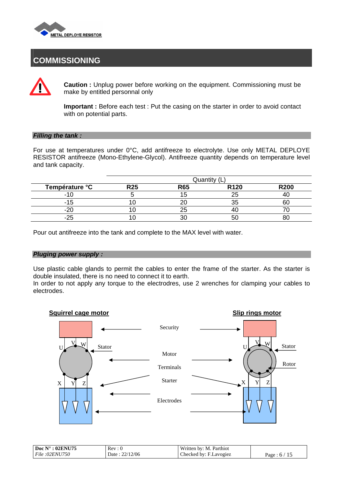

## **COMMISSIONING**

**Caution :** Unplug power before working on the equipment. Commissioning must be make by entitled personnal only

**Important :** Before each test : Put the casing on the starter in order to avoid contact with on potential parts.

#### *Filling the tank :*

For use at temperatures under 0°C, add antifreeze to electrolyte. Use only METAL DEPLOYE RESISTOR antifreeze (Mono-Ethylene-Glycol). Antifreeze quantity depends on temperature level and tank capacity.

|                | Quantity   |            |                  |             |  |  |
|----------------|------------|------------|------------------|-------------|--|--|
| Température °C | <b>R25</b> | <b>R65</b> | R <sub>120</sub> | <b>R200</b> |  |  |
|                |            |            |                  |             |  |  |
|                |            |            |                  |             |  |  |
|                |            |            |                  |             |  |  |
|                |            |            |                  |             |  |  |

Pour out antifreeze into the tank and complete to the MAX level with water.

#### *Pluging power supply :*

Use plastic cable glands to permit the cables to enter the frame of the starter. As the starter is double insulated, there is no need to connect it to earth.

In order to not apply any torque to the electrodres, use 2 wrenches for clamping your cables to electrodes.

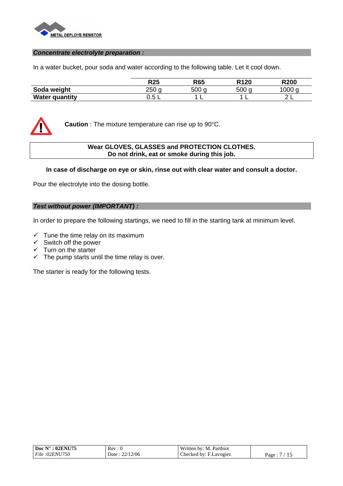

#### *Concentrate electrolyte preparation :*

In a water bucket, pour soda and water according to the following table. Let it cool down.

|                       | <b>R25</b> | <b>R65</b>       | R <sub>120</sub> | <b>R200</b> |
|-----------------------|------------|------------------|------------------|-------------|
| Soda weight           | 250        | 500 <sub>o</sub> | 500<br>$\sim$    | 000         |
| <b>Water quantity</b> | -<br>∪.∪ ∟ |                  |                  |             |



**Caution** : The mixture temperature can rise up to 90°C.

#### **Wear GLOVES, GLASSES and PROTECTION CLOTHES. Do not drink, eat or smoke during this job.**

#### **In case of discharge on eye or skin, rinse out with clear water and consult a doctor.**

Pour the electrolyte into the dosing bottle.

#### *Test without power (IMPORTANT) :*

In order to prepare the following startings, we need to fill in the starting tank at minimum level.

- $\checkmark$  Tune the time relay on its maximum
- $\checkmark$  Switch off the power
- $\checkmark$  Turn on the starter
- $\checkmark$  The pump starts until the time relay is over.

The starter is ready for the following tests.

| $\mathbf{Doc} \ \mathbf{N}^{\circ}$<br>: 02ENU75 | Rev              | Written by: M. Parthiot |      |
|--------------------------------------------------|------------------|-------------------------|------|
| File : 02ENU750                                  | 22/12/06<br>Date | Checked by: F.Lavogiez  | Page |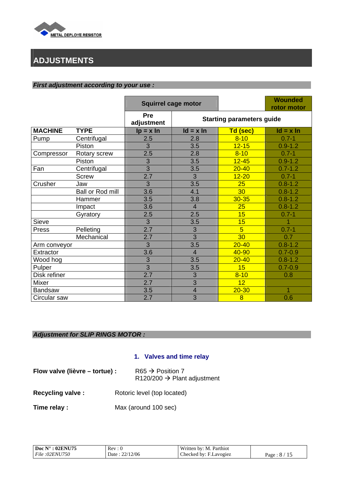

## **ADJUSTMENTS**

#### *First adjustment according to your use :*

|                |                  | <b>Squirrel cage motor</b> |                |                                  | <b>Wounded</b><br>rotor motor |  |
|----------------|------------------|----------------------------|----------------|----------------------------------|-------------------------------|--|
|                |                  | <b>Pre</b><br>adjustment   |                | <b>Starting parameters guide</b> |                               |  |
| <b>MACHINE</b> | <b>TYPE</b>      | $lp = x ln$                | $Id = x In$    | Td (sec)                         | $Id = x In$                   |  |
| Pump           | Centrifugal      | 2.5                        | 2.8            | $8 - 10$                         | $0.7 - 1$                     |  |
|                | Piston           | 3                          | 3.5            | $12 - 15$                        | $0.9 - 1.2$                   |  |
| Compressor     | Rotary screw     | 2.5                        | 2.8            | $8 - 10$                         | $0.7 - 1$                     |  |
|                | Piston           | 3                          | 3.5            | $12 - 45$                        | $0.9 - 1.2$                   |  |
| Fan            | Centrifugal      | $\overline{3}$             | 3.5            | $20 - 40$                        | $0.7 - 1.2$                   |  |
|                | <b>Screw</b>     | $\overline{2.7}$           | 3              | $12 - 20$                        | $0.7 - 1$                     |  |
| Crusher        | Jaw              | $\overline{3}$             | 3.5            | 25                               | $0.8 - 1.2$                   |  |
|                | Ball or Rod mill | 3.6                        | 4.1            | 30                               | $0.8 - 1.2$                   |  |
|                | Hammer           | 3.5                        | 3.8            | $30 - 35$                        | $0.8 - 1.2$                   |  |
|                | Impact           | 3.6                        | $\overline{4}$ | 25                               | $0.8 - 1.2$                   |  |
|                | Gyratory         | 2.5                        | 2.5            | 15                               | $0.7 - 1$                     |  |
| Sieve          |                  | $\overline{3}$             | 3.5            | 15                               |                               |  |
| Press          | Pelleting        | 2.7                        | 3              | $\overline{5}$                   | $0.7 - 1$                     |  |
|                | Mechanical       | 2.7                        | 3              | 30                               | 0.7                           |  |
| Arm conveyor   |                  | 3                          | 3.5            | $20 - 40$                        | $0.8 - 1.2$                   |  |
| Extractor      |                  | 3.6                        | $\overline{4}$ | 40-90                            | $0.7 - 0.9$                   |  |
| Wood hog       |                  | 3                          | 3.5            | $20 - 40$                        | $0.8 - 1.2$                   |  |
| Pulper         |                  | $\overline{3}$             | 3.5            | 15                               | $0.7 - 0.9$                   |  |
| Disk refiner   |                  | 2.7                        | 3              | $8 - 10$                         | 0.8                           |  |
| Mixer          |                  | 2.7                        | $\overline{3}$ | $\overline{12}$                  |                               |  |
| <b>Bandsaw</b> |                  | 3.5                        | 4              | $20 - 30$                        | 1                             |  |
| Circular saw   |                  | 2.7                        | 3              | 8                                | 0.6                           |  |

#### *Adjustment for SLIP RINGS MOTOR :*

#### **1. Valves and time relay**

| Flow valve (lièvre – tortue) : | $R65 \rightarrow$ Position 7            |
|--------------------------------|-----------------------------------------|
|                                | R120/200 $\rightarrow$ Plant adjustment |

- **Recycling valve :** Rotoric level (top located)
- **Time relay :** Max (around 100 sec)

| $\mathbf{Doc} \ \mathbf{N}^\circ : 02 \mathbf{ENU} 75$ | Rev: 0             | Written by: M. Parthiot |            |
|--------------------------------------------------------|--------------------|-------------------------|------------|
| File:02ENU750                                          | 22/12/06<br>Date : | Checked by: F.Lavogiez  | Page : 8 / |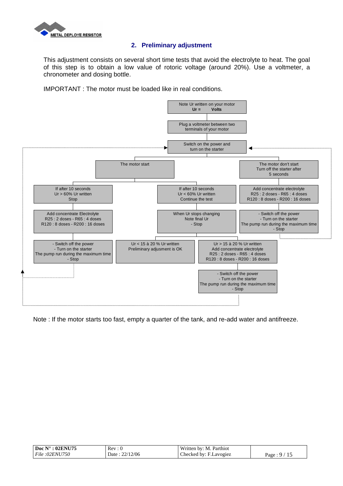

#### **2. Preliminary adjustment**

This adjustment consists on several short time tests that avoid the electrolyte to heat. The goal of this step is to obtain a low value of rotoric voltage (around 20%). Use a voltmeter, a chronometer and dosing bottle.

IMPORTANT : The motor must be loaded like in real conditions.



Note : If the motor starts too fast, empty a quarter of the tank, and re-add water and antifreeze.

| $^{\circ}$ : 02ENU75     | Rev                      | Written by: $M_{\cdot}$ . |                 |
|--------------------------|--------------------------|---------------------------|-----------------|
| Doc $N^{\circ}$          | -0                       | . Parthiot                |                 |
| <i>:02ENU750</i><br>File | 22/12/06<br>Date<br>سے ب | Checked by: F.Lavogiez    | 15<br>Page<br>. |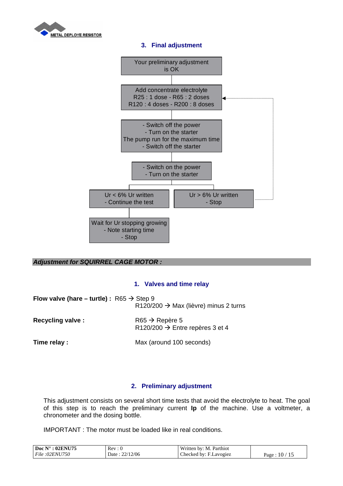

#### **3. Final adjustment**



#### *Adjustment for SQUIRREL CAGE MOTOR :*

#### **1. Valves and time relay**

| Flow valve (hare – turtle) : $R65 \rightarrow$ Step 9 | R120/200 $\rightarrow$ Max (lièvre) minus 2 turns                         |
|-------------------------------------------------------|---------------------------------------------------------------------------|
| <b>Recycling valve:</b>                               | $R65 \rightarrow Repère 5$<br>R120/200 $\rightarrow$ Entre repères 3 et 4 |
| Time relay :                                          | Max (around 100 seconds)                                                  |

#### **2. Preliminary adjustment**

This adjustment consists on several short time tests that avoid the electrolyte to heat. The goal of this step is to reach the preliminary current **Ip** of the machine. Use a voltmeter, a chronometer and the dosing bottle.

IMPORTANT : The motor must be loaded like in real conditions.

| $:02 \mathrm{ENU} 75$         |               | Parthiot               |                          |
|-------------------------------|---------------|------------------------|--------------------------|
| Doc $N^{\circ}$               | <b>Rev</b>    | Written by: M.         |                          |
| <i>File</i> :02 <i>ENU750</i> | 12/06<br>Date | Checked by: F.Lavogiez | 10<br>$P_{\text{age}}$ . |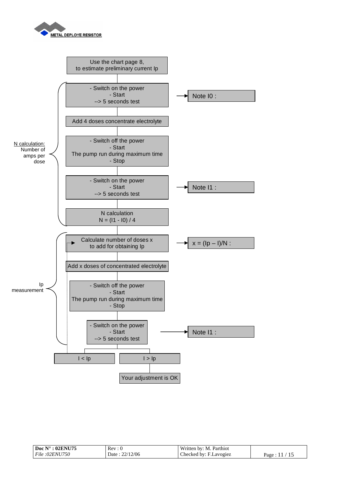



| Doc $N^{\circ}$ : 02ENU75 | Rev: 0             | Written by: M. Parthiot |        |
|---------------------------|--------------------|-------------------------|--------|
| File : 02ENU750           | 22/12/06<br>Date : | Checked by: F.Lavogiez  | Page : |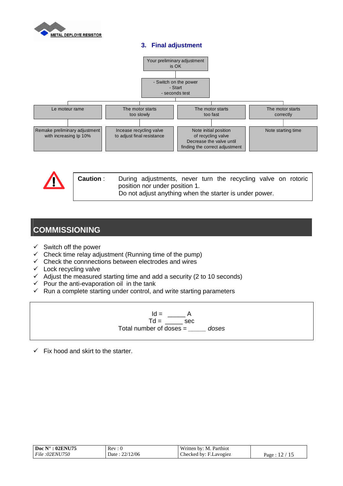

#### **3. Final adjustment**





## **COMMISSIONING**

- $\checkmark$  Switch off the power
- $\checkmark$  Check time relay adjustment (Running time of the pump)
- $\checkmark$  Check the connnections between electrodes and wires
- $\checkmark$  Lock recycling valve
- $\checkmark$  Adjust the measured starting time and add a security (2 to 10 seconds)
- $\checkmark$  Pour the anti-evaporation oil in the tank
- $\checkmark$  Run a complete starting under control, and write starting parameters

 $Id = \underline{\hspace{1cm}} A$  $Td = \underline{\hspace{2cm}}$  sec Total number of doses = *\_\_\_\_\_ doses* 

 $\checkmark$  Fix hood and skirt to the starter.

| $\overline{1}$ Doc N°: 02ENU75 | Rev: 0         | Written by: M. Parthiot |        |
|--------------------------------|----------------|-------------------------|--------|
| File : 02ENU750                | Date: 22/12/06 | Checked by: F.Lavogiez  | Page : |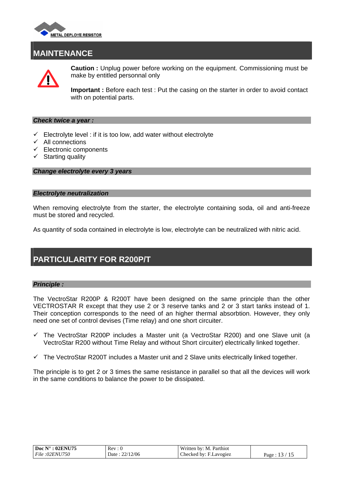

### **MAINTENANCE**



**Caution :** Unplug power before working on the equipment. Commissioning must be make by entitled personnal only

**Important :** Before each test : Put the casing on the starter in order to avoid contact with on potential parts.

#### *Check twice a year :*

- $\checkmark$  Electrolyte level : if it is too low, add water without electrolyte
- $\checkmark$  All connections
- $\checkmark$  Electronic components
- $\checkmark$  Starting quality

*Change electrolyte every 3 years* 

#### *Electrolyte neutralization*

When removing electrolyte from the starter, the electrolyte containing soda, oil and anti-freeze must be stored and recycled.

As quantity of soda contained in electrolyte is low, electrolyte can be neutralized with nitric acid.

## **PARTICULARITY FOR R200P/T**

#### *Principle :*

The VectroStar R200P & R200T have been designed on the same principle than the other VECTROSTAR R except that they use 2 or 3 reserve tanks and 2 or 3 start tanks instead of 1. Their conception corresponds to the need of an higher thermal absorbtion. However, they only need one set of control devises (Time relay) and one short circuiter.

- $\checkmark$  The VectroStar R200P includes a Master unit (a VectroStar R200) and one Slave unit (a VectroStar R200 without Time Relay and without Short circuiter) electrically linked together.
- $\checkmark$  The VectroStar R200T includes a Master unit and 2 Slave units electrically linked together.

The principle is to get 2 or 3 times the same resistance in parallel so that all the devices will work in the same conditions to balance the power to be dissipated.

| Doc $N^\circ$ : 02ENU75 | Rev: 0                      | Written by: M. Parthiot |       |
|-------------------------|-----------------------------|-------------------------|-------|
| File:02ENU750           | 22/12/06<br>Date :<br>منتشر | Checked by: F.Lavogiez  | Page: |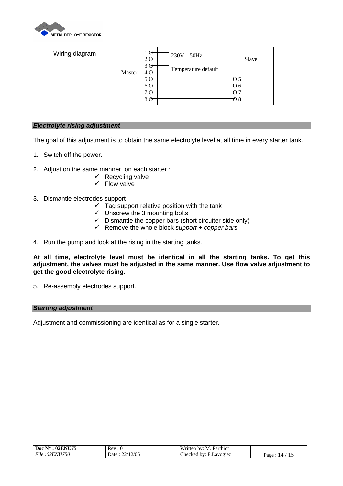

| Wiring diagram | Master | 1Θ<br>$2\Theta$<br>3 <sub>0</sub><br>4 <sub>0</sub> | $230V - 50Hz$<br>Temperature default | Slave                         |
|----------------|--------|-----------------------------------------------------|--------------------------------------|-------------------------------|
|                |        | 5 Q<br>6 O<br>7 <sub>0</sub><br>8 Q                 |                                      | € 5<br>Ю6<br>A,<br>$\Theta$ 8 |

#### *Electrolyte rising adjustment*

The goal of this adjustment is to obtain the same electrolyte level at all time in every starter tank.

- 1. Switch off the power.
- 2. Adjust on the same manner, on each starter :
	- $\checkmark$  Recycling valve
	- $\checkmark$  Flow valve
- 3. Dismantle electrodes support
	- $\checkmark$  Tag support relative position with the tank
	- $\checkmark$  Unscrew the 3 mounting bolts
	- $\checkmark$  Dismantle the copper bars (short circuiter side only)
	- 9 Remove the whole block *support + copper bars*
- 4. Run the pump and look at the rising in the starting tanks.

**At all time, electrolyte level must be identical in all the starting tanks. To get this adjustment, the valves must be adjusted in the same manner. Use flow valve adjustment to get the good electrolyte rising.** 

5. Re-assembly electrodes support.

#### *Starting adjustment*

Adjustment and commissioning are identical as for a single starter.

| $: 02$ ENU75<br>Doc $N^{\circ}$ | Rev: 0        | <b>TTT</b><br>Parthiot<br>Written by: M. |                        |
|---------------------------------|---------------|------------------------------------------|------------------------|
| <i>File</i> :02ENU750           | 12/06<br>Date | Checked by: F.Lavogiez                   | 14<br>$P_{\text{age}}$ |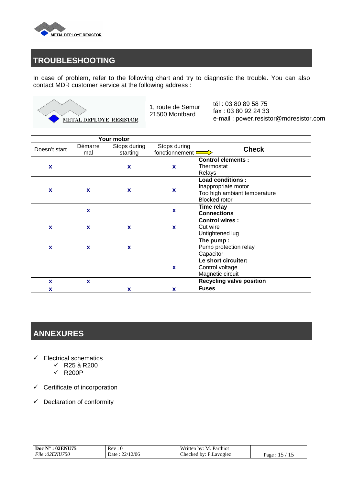

## **TROUBLESHOOTING**

In case of problem, refer to the following chart and try to diagnostic the trouble. You can also contact MDR customer service at the following address :



1, route de Semur 21500 Montbard

tél : 03 80 89 58 75 fax : 03 80 92 24 33 e-mail : power.resistor@mdresistor.com

|               |                | <b>Your motor</b>        |                                             |                                                                                                        |  |
|---------------|----------------|--------------------------|---------------------------------------------|--------------------------------------------------------------------------------------------------------|--|
| Doesn't start | Démarre<br>mal | Stops during<br>starting | Stops during<br>fonctionnement <sup>D</sup> | <b>Check</b>                                                                                           |  |
| X             |                | X                        | X                                           | <b>Control elements:</b><br>Thermostat<br>Relays                                                       |  |
| X             | X              | X                        | X                                           | <b>Load conditions:</b><br>Inappropriate motor<br>Too high ambiant temperature<br><b>Blocked</b> rotor |  |
|               | X              |                          | X                                           | Time relay<br><b>Connections</b>                                                                       |  |
| X             | X              | X                        | $\mathbf x$                                 | <b>Control wires:</b><br>Cut wire<br>Untightened lug                                                   |  |
| X             | $\mathbf x$    | X                        |                                             | The pump:<br>Pump protection relay<br>Capacitor                                                        |  |
|               |                |                          | X                                           | Le short circuiter:<br>Control voltage<br>Magnetic circuit                                             |  |
| x<br>x        | <b>X</b>       | X                        | X                                           | <b>Recycling valve position</b><br><b>Fuses</b>                                                        |  |

## **ANNEXURES**

- $\checkmark$  Electrical schematics
	- $\sqrt{}$  R25 à R200
	- $\checkmark$  R200P
- $\checkmark$  Certificate of incorporation
- $\checkmark$  Declaration of conformity

| Doc $N^{\circ}$ : 02ENU75     | Rev: 0           | Written by: M. Parthiot |      |
|-------------------------------|------------------|-------------------------|------|
| <i>File</i> :02 <i>ENU750</i> | 22/12/06<br>Date | Checked by: F.Lavogiez  | Page |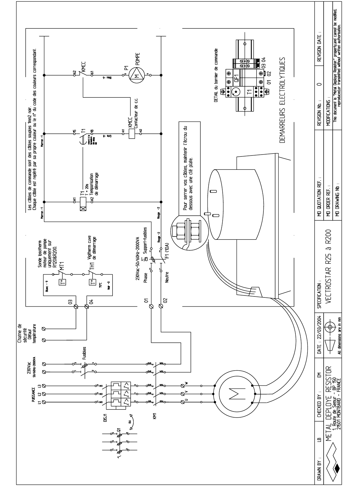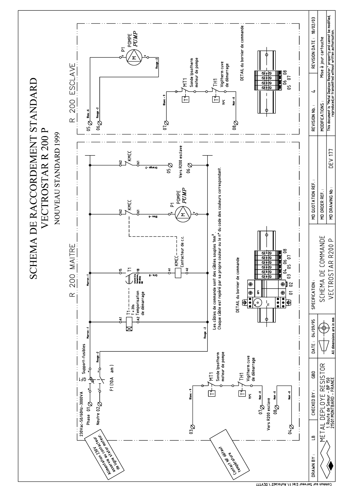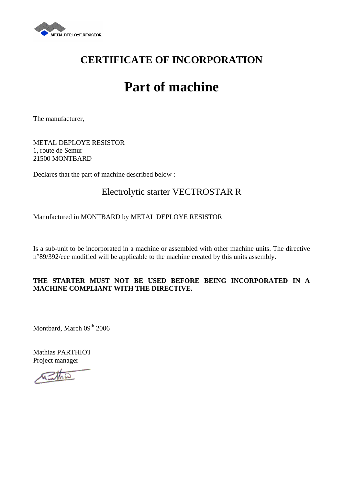

## **CERTIFICATE OF INCORPORATION**

## **Part of machine**

The manufacturer,

METAL DEPLOYE RESISTOR 1, route de Semur 21500 MONTBARD

Declares that the part of machine described below :

## Electrolytic starter VECTROSTAR R

#### Manufactured in MONTBARD by METAL DEPLOYE RESISTOR

Is a sub-unit to be incorporated in a machine or assembled with other machine units. The directive n°89/392/eee modified will be applicable to the machine created by this units assembly.

#### **THE STARTER MUST NOT BE USED BEFORE BEING INCORPORATED IN A MACHINE COMPLIANT WITH THE DIRECTIVE.**

Montbard, March 09th 2006

Mathias PARTHIOT Project manager

ستلاحيه